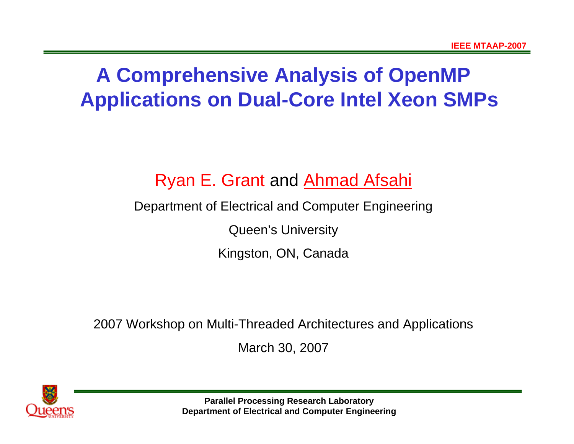# **A Comprehensive Analysis of OpenMP Applications on Dual-Core Intel Xeon SMPs**

# Ryan E. Grant and Ahmad Afsahi

#### Department of Electrical and Computer Engineering

Queen's University

Kingston, ON, Canada

2007 Workshop on Multi-Threaded Architectures and Applications

March 30, 2007

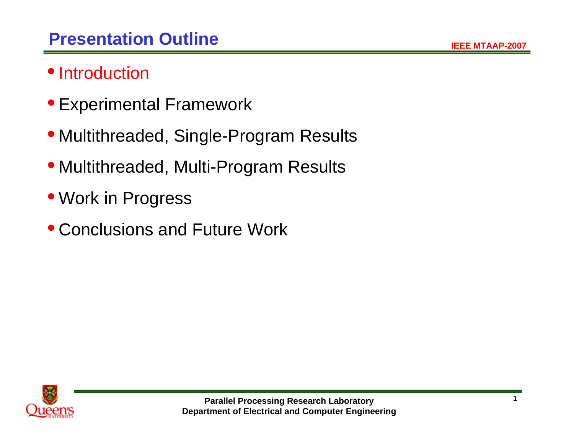# • Introduction

- Experimental Framework
- Multithreaded, Single-Program Results
- Multithreaded, Multi-Program Results
- Work in Progress
- Conclusions and Future Work

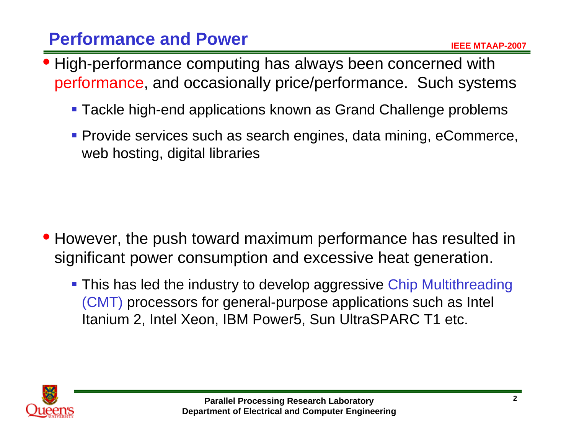# **Performance and Power**

- High-performance computing has always been concerned with performance, and occasionally price/performance. Such systems
	- Tackle high-end applications known as Grand Challenge problems
	- Provide services such as search engines, data mining, eCommerce, web hosting, digital libraries

- However, the push toward maximum performance has resulted in significant power consumption and excessive heat generation.
	- **This has led the industry to develop aggressive Chip Multithreading** (CMT) processors for general-purpose applications such as Intel Itanium 2, Intel Xeon, IBM Power5, Sun UltraSPARC T1 etc.

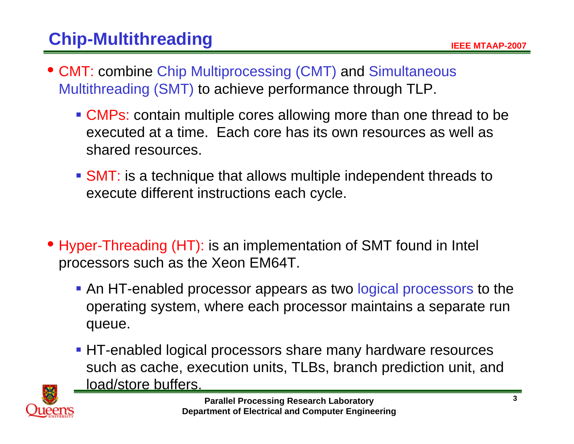- CMT: combine Chip Multiprocessing (CMT) and Simultaneous Multithreading (SMT) to achieve performance through TLP.
	- CMPs: contain multiple cores allowing more than one thread to be executed at a time. Each core has its own resources as well as shared resources.
	- SMT: is a technique that allows multiple independent threads to execute different instructions each cycle.
- Hyper-Threading (HT): is an implementation of SMT found in Intel processors such as the Xeon EM64T.
	- **An HT-enabled processor appears as two logical processors to the** operating system, where each processor maintains a separate run queue.
	- HT-enabled logical processors share many hardware resources such as cache, execution units, TLBs, branch prediction unit, and load/store buffers.

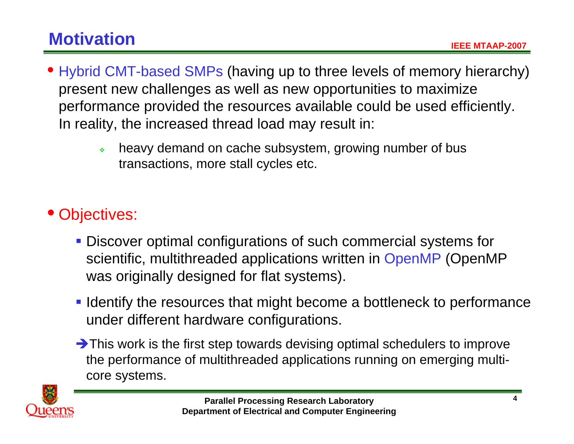- Hybrid CMT-based SMPs (having up to three levels of memory hierarchy) present new challenges as well as new opportunities to maximize performance provided the resources available could be used efficiently. In reality, the increased thread load may result in:
	- $\ddot{\bullet}$  heavy demand on cache subsystem, growing number of bus transactions, more stall cycles etc.

# • Objectives:

- Discover optimal configurations of such commercial systems for scientific, multithreaded applications written in OpenMP (OpenMP was originally designed for flat systems).
- **I dentify the resources that might become a bottleneck to performance** under different hardware configurations.
- $\rightarrow$  This work is the first step towards devising optimal schedulers to improve the performance of multithreaded applications running on emerging multicore systems.

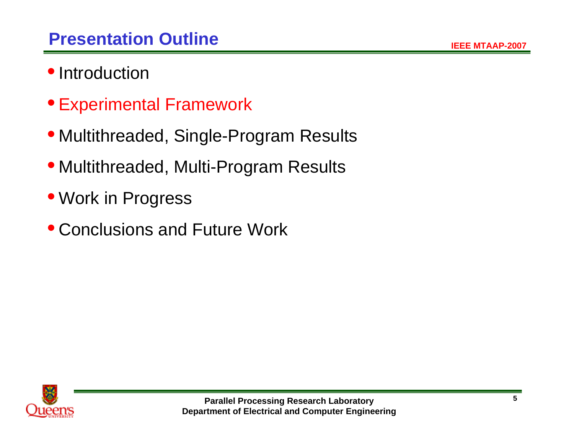- Introduction
- Experimental Framework
- Multithreaded, Single-Program Results
- Multithreaded, Multi-Program Results
- Work in Progress
- Conclusions and Future Work

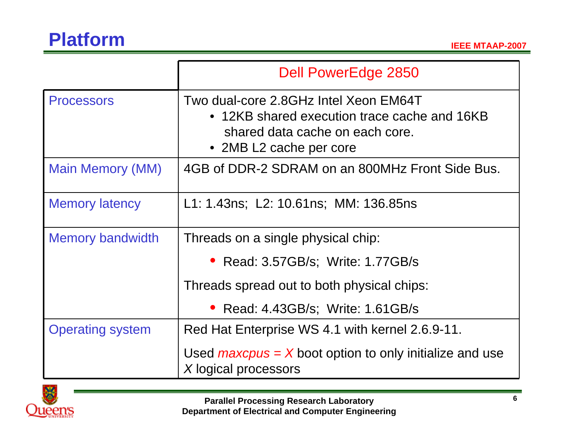|                         | <b>Dell PowerEdge 2850</b>                                                                                                                          |  |  |  |  |  |
|-------------------------|-----------------------------------------------------------------------------------------------------------------------------------------------------|--|--|--|--|--|
| <b>Processors</b>       | Two dual-core 2.8GHz Intel Xeon EM64T<br>• 12KB shared execution trace cache and 16KB<br>shared data cache on each core.<br>• 2MB L2 cache per core |  |  |  |  |  |
| Main Memory (MM)        | 4GB of DDR-2 SDRAM on an 800MHz Front Side Bus.                                                                                                     |  |  |  |  |  |
| <b>Memory latency</b>   | L1: 1.43ns; L2: 10.61ns; MM: 136.85ns                                                                                                               |  |  |  |  |  |
| <b>Memory bandwidth</b> | Threads on a single physical chip:                                                                                                                  |  |  |  |  |  |
|                         | • Read: 3.57GB/s; Write: 1.77GB/s                                                                                                                   |  |  |  |  |  |
|                         | Threads spread out to both physical chips:                                                                                                          |  |  |  |  |  |
|                         | Read: 4.43GB/s; Write: 1.61GB/s                                                                                                                     |  |  |  |  |  |
| <b>Operating system</b> | Red Hat Enterprise WS 4.1 with kernel 2.6.9-11.                                                                                                     |  |  |  |  |  |
|                         | Used $maxepus = X$ boot option to only initialize and use<br>X logical processors                                                                   |  |  |  |  |  |

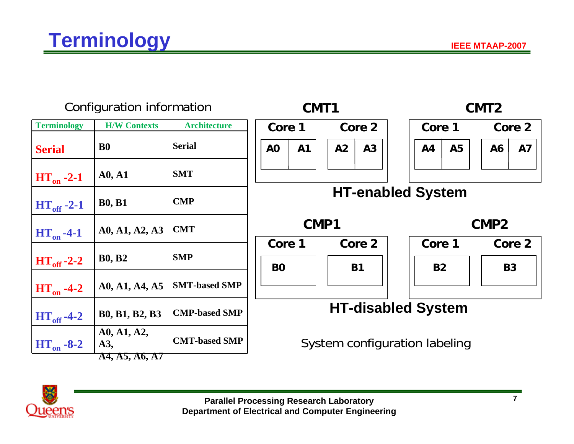| Configuration information |                     | CMT1                 |                           |    |                               |                     | CMT <sub>2</sub> |                     |        |    |                     |
|---------------------------|---------------------|----------------------|---------------------------|----|-------------------------------|---------------------|------------------|---------------------|--------|----|---------------------|
| <b>Terminology</b>        | <b>H/W Contexts</b> | <b>Architecture</b>  | Core 2<br>Core 1          |    |                               | Core 1              |                  |                     | Core 2 |    |                     |
| <b>Serial</b>             | <b>BO</b>           | <b>Serial</b>        | A <sub>O</sub>            | A1 | A2                            | A3                  |                  | A <sub>4</sub>      | A5     | A6 | <b>A7</b>           |
| $HT_{on}$ -2-1            | A0, A1              | <b>SMT</b>           |                           |    |                               |                     |                  |                     |        |    |                     |
| $HT_{\text{off}} -2-1$    | <b>B0, B1</b>       | <b>CMP</b>           | <b>HT-enabled System</b>  |    |                               |                     |                  |                     |        |    |                     |
| $HT_{on}$ -4-1            | A0, A1, A2, A3      | <b>CMT</b>           | CMP1                      |    |                               |                     |                  | CMP <sub>2</sub>    |        |    |                     |
| $HT_{\text{off}}-2-2$     | <b>B0, B2</b>       | <b>SMP</b>           | Core 1<br><b>BO</b>       |    |                               | Core 2<br><b>B1</b> |                  | Core 1<br><b>B2</b> |        |    | Core 2<br><b>B3</b> |
| $HT_{on}$ -4-2            | A0, A1, A4, A5      | <b>SMT-based SMP</b> |                           |    |                               |                     |                  |                     |        |    |                     |
| $HT_{off}$ -4-2           | B0, B1, B2, B3      | <b>CMP-based SMP</b> | <b>HT-disabled System</b> |    |                               |                     |                  |                     |        |    |                     |
| $HT_{on} -8-2$            | A0, A1, A2,<br>A3,  | <b>CMT-based SMP</b> |                           |    | System configuration labeling |                     |                  |                     |        |    |                     |
|                           | A4, A5, A6, A7      |                      |                           |    |                               |                     |                  |                     |        |    |                     |

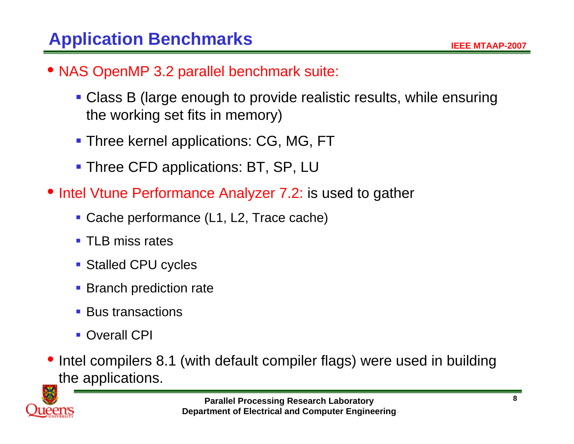- NAS OpenMP 3.2 parallel benchmark suite:
	- Class B (large enough to provide realistic results, while ensuring the working set fits in memory)
	- **Three kernel applications: CG, MG, FT**
	- **Three CFD applications: BT, SP, LU**
- Intel Vtune Performance Analyzer 7.2: is used to gather
	- Cache performance (L1, L2, Trace cache)
	- **TLB miss rates**
	- **Stalled CPU cycles**
	- **Branch prediction rate**
	- **Bus transactions**
	- **Overall CPI**
- Intel compilers 8.1 (with default compiler flags) were used in building the applications.

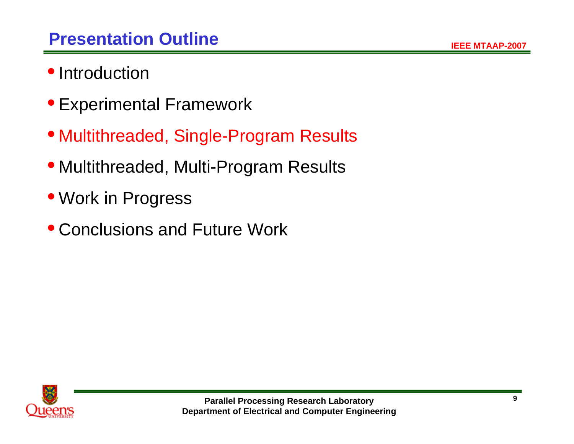- Introduction
- Experimental Framework
- Multithreaded, Single-Program Results
- Multithreaded, Multi-Program Results
- Work in Progress
- Conclusions and Future Work

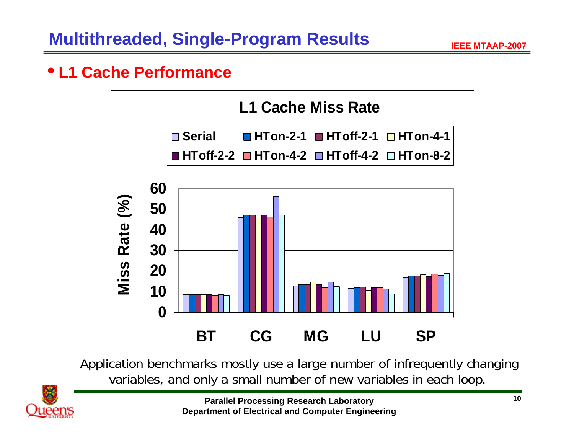#### • **L1 Cache Performance**



Application benchmarks mostly use a large number of infrequently changing variables, and only a small number of new variables in each loop.

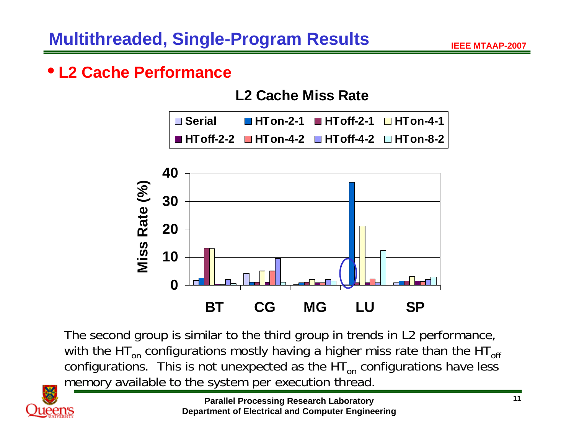#### • **L2 Cache Performance**



The second group is similar to the third group in trends in L2 performance, with the HT $_{\sf on}$  configurations mostly having a higher miss rate than the HT $_{\sf off}$ configurations. This is not unexpected as the  $\mathsf{HT}_\mathsf{on}$  configurations have less memory available to the system per execution thread.

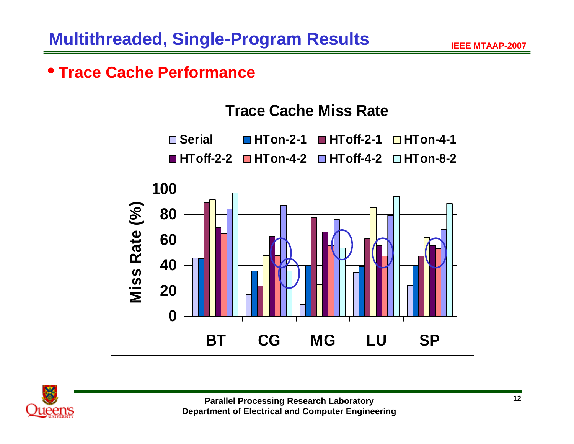### • **Trace Cache Performance**



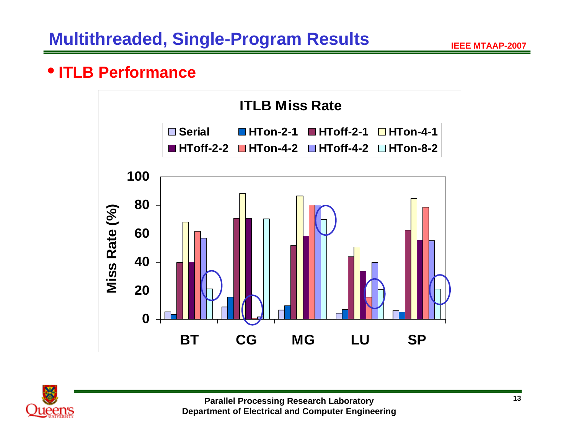### • **ITLB Performance**



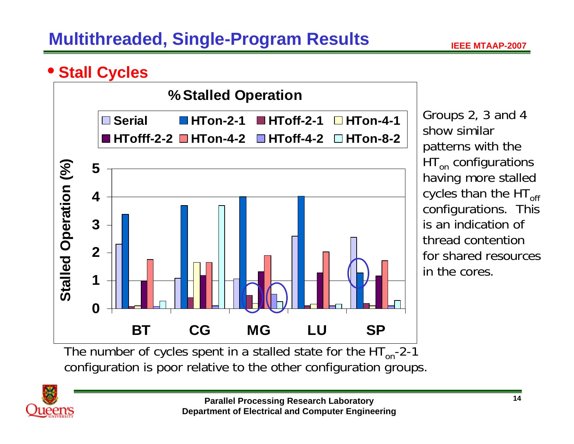# **Multithreaded, Single-Program Results**

### • **Stall Cycles**



Groups 2, 3 and 4 show similar patterns with the HT<sub>on</sub> configurations having more stalled cycles than the  $HT_{off}$  configurations. This is an indication of thread contention for shared resources in the cores.

configuration is poor relative to the other configuration groups.

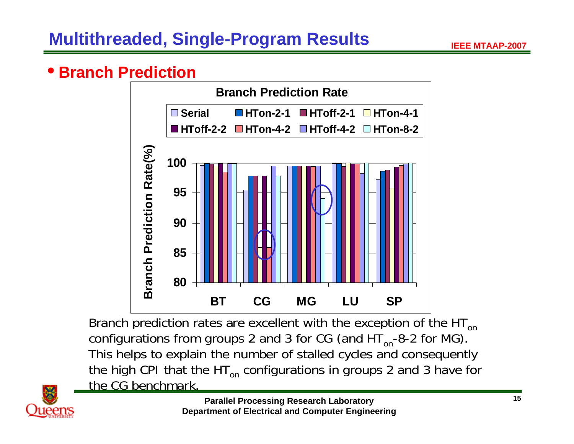#### •**• Branch Prediction**



Branch prediction rates are excellent with the exception of the  $HT_{on}$ configurations from groups 2 and 3 for CG (and  $HT_{on}$ -8-2 for MG). This helps to explain the number of stalled cycles and consequently the high CPI that the HT $_{\sf on}$  configurations in groups 2 and 3 have for the CG benchmark.

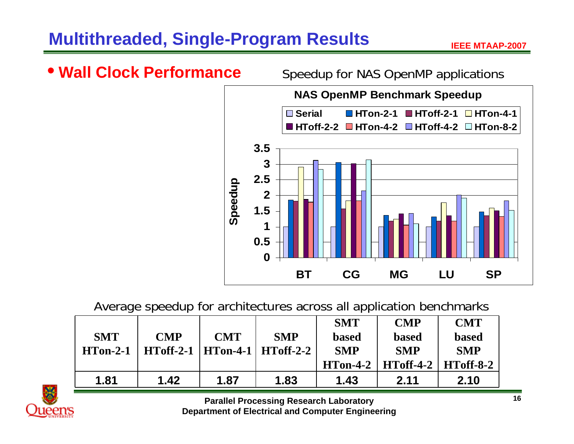# **Multithreaded, Single-Program Results**

Jueen's



#### Average speedup for architectures across all application benchmarks

|            |                                    |            |            | <b>SMT</b>   | <b>CMP</b>   | <b>CMT</b>   |
|------------|------------------------------------|------------|------------|--------------|--------------|--------------|
| <b>SMT</b> | <b>CMP</b>                         | <b>CMT</b> | <b>SMP</b> | <b>based</b> | <b>based</b> | <b>based</b> |
| $HTon-2-1$ | $HToff-2-1$   HTon-4-1   HToff-2-2 |            |            | <b>SMP</b>   | <b>SMP</b>   | <b>SMP</b>   |
|            |                                    |            |            | $HTon-4-2$   | $HToff-4-2$  | $HToff-8-2$  |
| 1.81       | 1.42                               | 1.87       | 1.83       | 1.43         | 2.11         | 2.10         |



**Department of Electrical and Computer Engineering**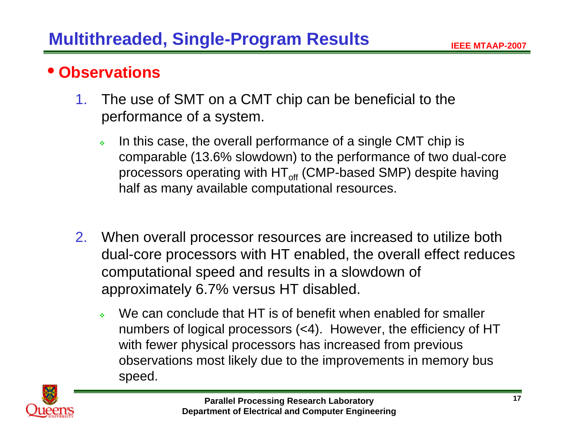#### •**Observations**

- 1. The use of SMT on a CMT chip can be beneficial to the performance of a system.
	- Ą. In this case, the overall performance of a single CMT chip is comparable (13.6% slowdown) to the performance of two dual-core processors operating with HT $_{\mathsf{off}}$  (CMP-based SMP) despite having half as many available computational resources.
- 2. When overall processor resources are increased to utilize both dual-core processors with HT enabled, the overall effect reduces computational speed and results in a slowdown of approximately 6.7% versus HT disabled.
	- a. We can conclude that HT is of benefit when enabled for smaller numbers of logical processors (<4). However, the efficiency of HT with fewer physical processors has increased from previous observations most likely due to the improvements in memory bus speed.

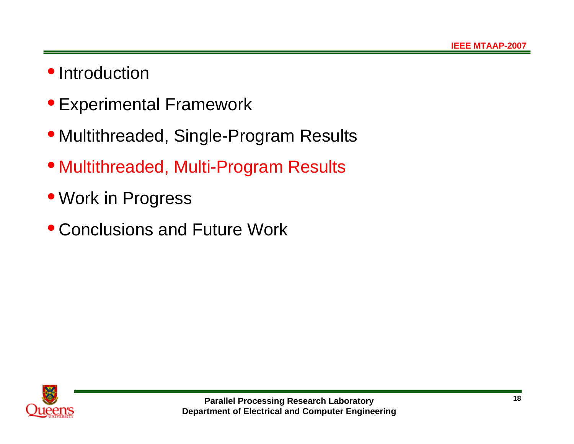# • Introduction

- Experimental Framework
- Multithreaded, Single-Program Results
- Multithreaded, Multi-Program Results
- Work in Progress
- Conclusions and Future Work

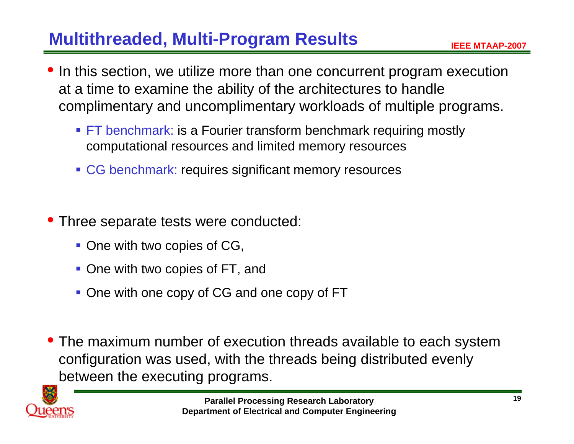# **Multithreaded, Multi-Program Results**

- $\bullet$  In this section, we utilize more than one concurrent program execution at a time to examine the ability of the architectures to handle complimentary and uncomplimentary workloads of multiple programs.
	- **FT benchmark: is a Fourier transform benchmark requiring mostly** computational resources and limited memory resources
	- **CG benchmark: requires significant memory resources**
- Three separate tests were conducted:
	- **One with two copies of CG,**
	- **One with two copies of FT, and**
	- **One with one copy of CG and one copy of FT**
- The maximum number of execution threads available to each system configuration was used, with the threads being distributed evenly between the executing programs.

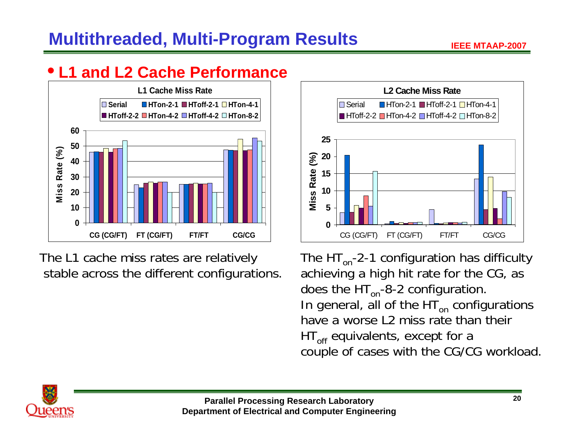# **Multithreaded, Multi-Program Results**

# • **L1 and L2 Cache Performance**



The L1 cache miss rates are relatively stable across the different configurations.



The  $HT_{on}$ -2-1 configuration has difficulty achieving a high hit rate for the CG, as does the  $HT_{on}$ -8-2 configuration. In general, all of the HT<sub>on</sub> configurations have a worse L2 miss rate than their HT<sub>off</sub> equivalents, except for a couple of cases with the CG/CG workload.

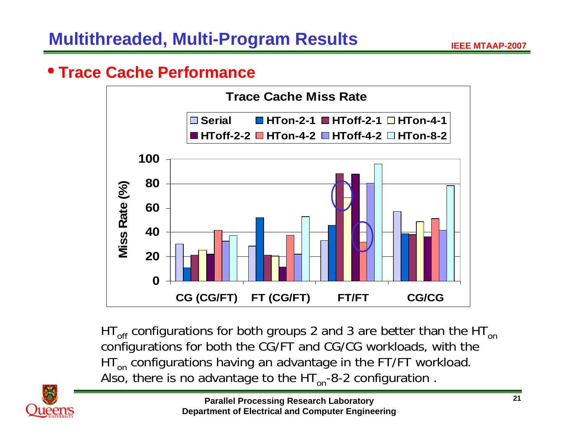#### • **Trace Cache Performance**



HT $_{\mathsf{off}}$  configurations for both groups 2 and 3 are better than the HT $_{\mathsf{on}}$ configurations for both the CG/FT and CG/CG workloads, with the HT $_{\sf on}$  configurations having an advantage in the FT/FT workload. Also, there is no advantage to the  $HT_{on}$ -8-2 configuration.

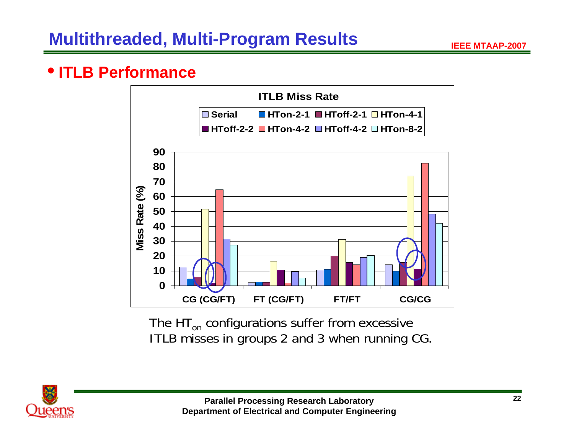#### • **ITLB Performance**



The HT<sub>on</sub> configurations suffer from excessive ITLB misses in groups 2 and 3 when running CG.

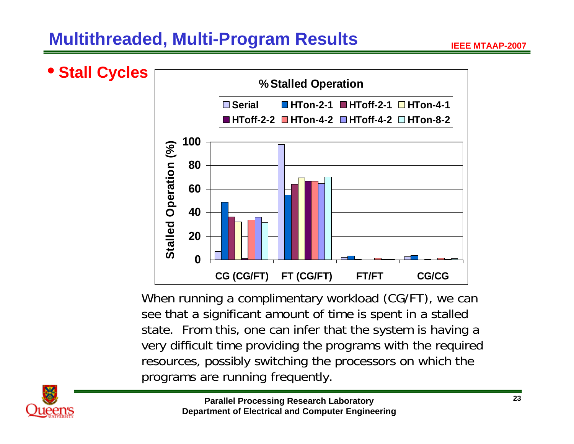# **Multithreaded, Multi-Program Results**



When running a complimentary workload (CG/FT), we can see that a significant amount of time is spent in a stalled state. From this, one can infer that the system is having a very difficult time providing the programs with the required resources, possibly switching the processors on which the programs are running frequently.

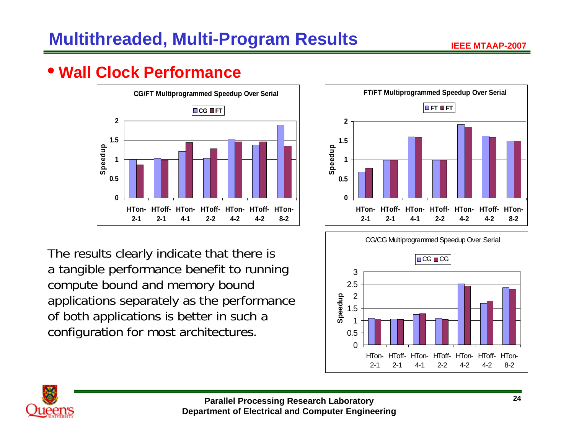# • **Wall Clock Performance**



The results clearly indicate that there is a tangible performance benefit to running compute bound and memory bound applications separately as the performance of both applications is better in such a configuration for most architectures.





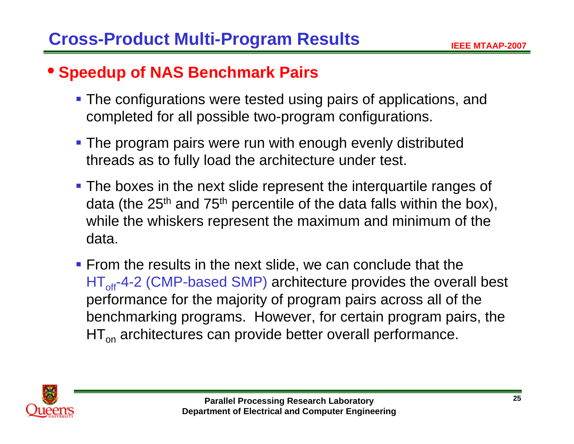# • **Speedup of NAS Benchmark Pairs**

- **The configurations were tested using pairs of applications, and** completed for all possible two-program configurations.
- **The program pairs were run with enough evenly distributed** threads as to fully load the architecture under test.
- **The boxes in the next slide represent the interquartile ranges of** data (the  $25<sup>th</sup>$  and  $75<sup>th</sup>$  percentile of the data falls within the box), while the whiskers represent the maximum and minimum of the data.
- **From the results in the next slide, we can conclude that the** HT<sub>off</sub>-4-2 (CMP-based SMP) architecture provides the overall best performance for the majority of program pairs across all of the benchmarking programs. However, for certain program pairs, the HT<sub>on</sub> architectures can provide better overall performance.

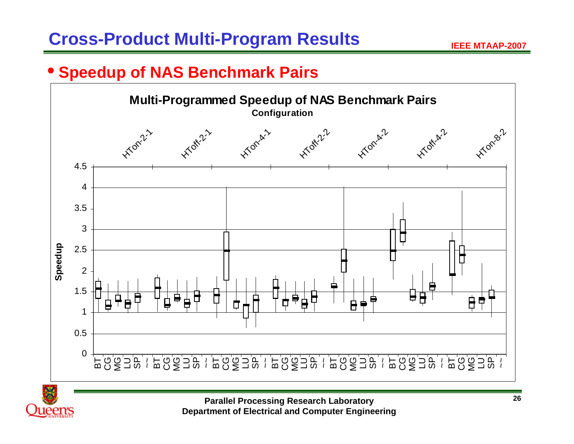#### • **Speedup of NAS Benchmark Pairs**



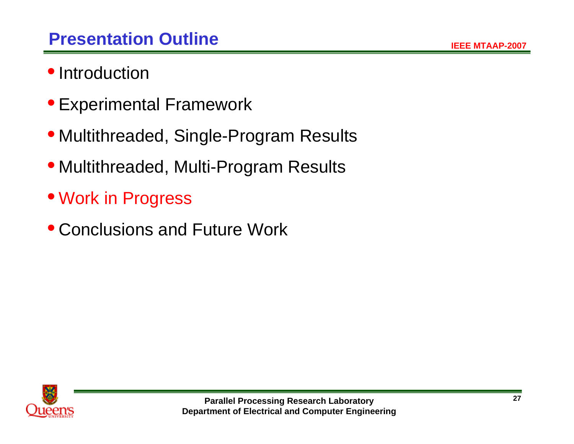- Introduction
- Experimental Framework
- Multithreaded, Single-Program Results
- Multithreaded, Multi-Program Results
- Work in Progress
- Conclusions and Future Work

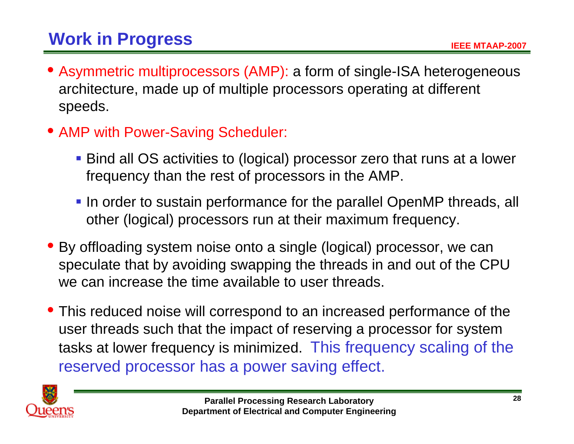- Asymmetric multiprocessors (AMP): a form of single-ISA heterogeneous architecture, made up of multiple processors operating at different speeds.
- AMP with Power-Saving Scheduler:
	- Bind all OS activities to (logical) processor zero that runs at a lower frequency than the rest of processors in the AMP.
	- In order to sustain performance for the parallel OpenMP threads, all other (logical) processors run at their maximum frequency.
- By offloading system noise onto a single (logical) processor, we can speculate that by avoiding swapping the threads in and out of the CPU we can increase the time available to user threads.
- This reduced noise will correspond to an increased performance of the user threads such that the impact of reserving a processor for system tasks at lower frequency is minimized. This frequency scaling of the reserved processor has a power saving effect.

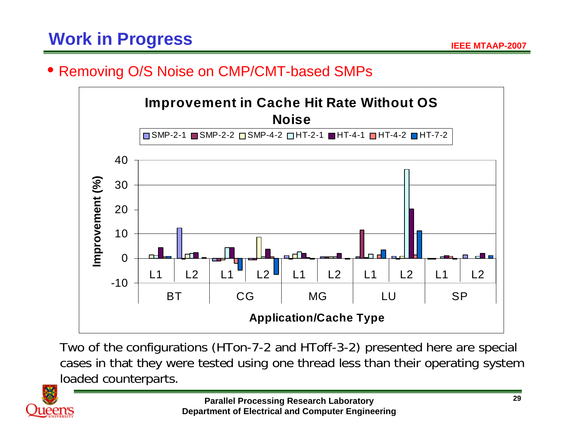#### • Removing O/S Noise on CMP/CMT-based SMPs



Two of the configurations (HTon-7-2 and HToff-3-2) presented here are special cases in that they were tested using one thread less than their operating system loaded counterparts.

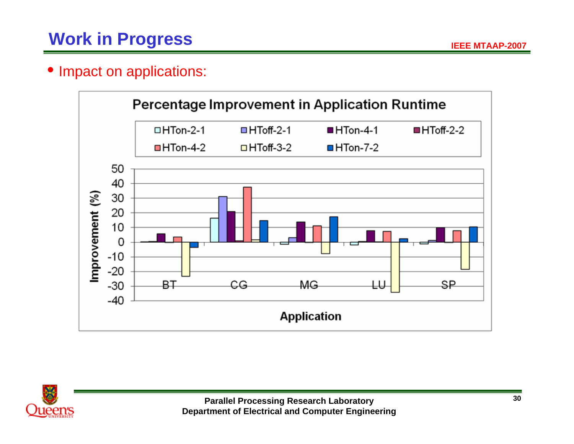#### • Impact on applications:



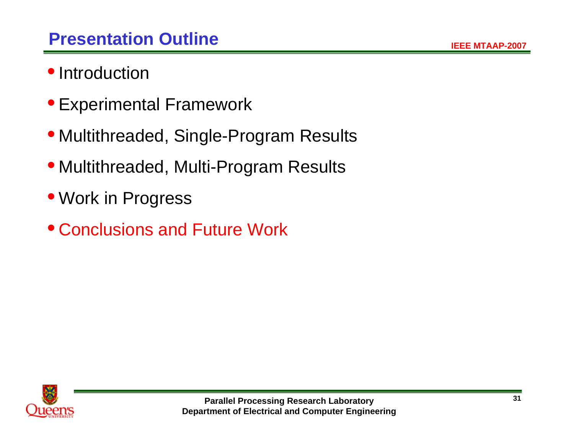- Introduction
- Experimental Framework
- Multithreaded, Single-Program Results
- Multithreaded, Multi-Program Results
- Work in Progress
- Conclusions and Future Work

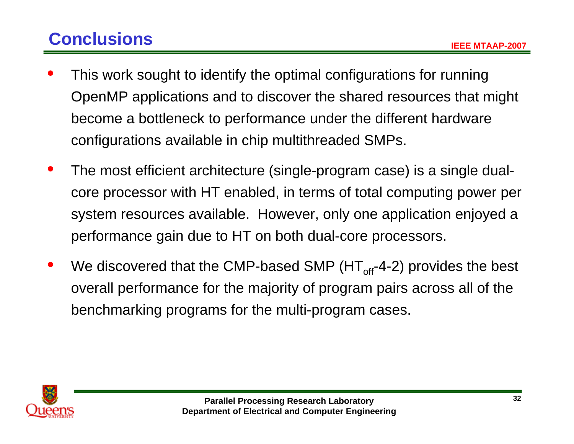# **Conclusions**

- $\bullet$  This work sought to identify the optimal configurations for running OpenMP applications and to discover the shared resources that might become a bottleneck to performance under the different hardware configurations available in chip multithreaded SMPs.
- $\bullet$  The most efficient architecture (single-program case) is a single dualcore processor with HT enabled, in terms of total computing power per system resources available. However, only one application enjoyed a performance gain due to HT on both dual-core processors.
- $\bullet$ We discovered that the CMP-based SMP ( $HT_{off}$ -4-2) provides the best overall performance for the majority of program pairs across all of the benchmarking programs for the multi-program cases.

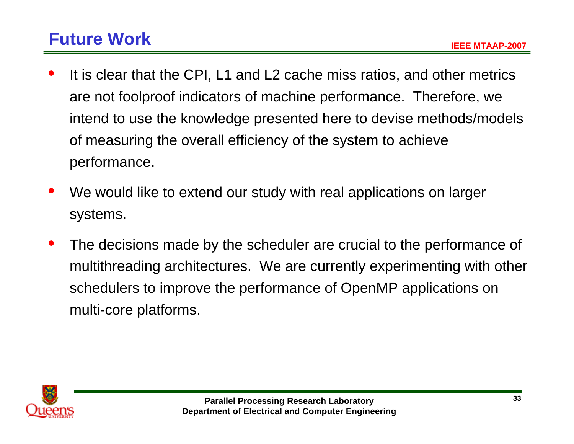# **Future Work**

- $\bullet$  It is clear that the CPI, L1 and L2 cache miss ratios, and other metrics are not foolproof indicators of machine performance. Therefore, we intend to use the knowledge presented here to devise methods/models of measuring the overall efficiency of the system to achieve performance.
- $\bullet$  We would like to extend our study with real applications on larger systems.
- $\bullet$  The decisions made by the scheduler are crucial to the performance of multithreading architectures. We are currently experimenting with other schedulers to improve the performance of OpenMP applications on multi-core platforms.

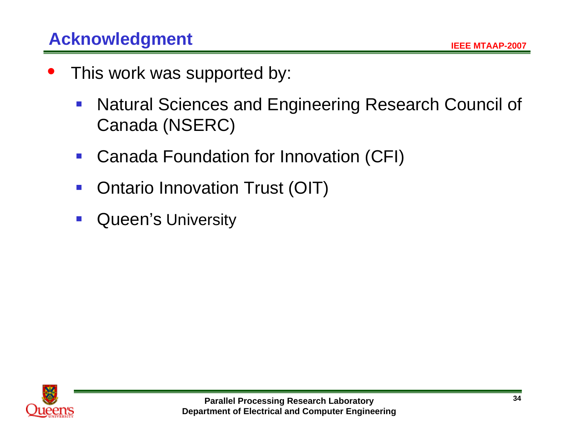- $\bullet$  This work was supported by:
	- $\mathcal{L}_{\mathcal{A}}$  Natural Sciences and Engineering Research Council of Canada (NSERC)
	- $\mathcal{L}^{\mathcal{A}}$ Canada Foundation for Innovation (CFI)
	- $\mathcal{C}^{\mathcal{A}}$ Ontario Innovation Trust (OIT)
	- $\mathcal{L}_{\mathcal{A}}$ Queen's University